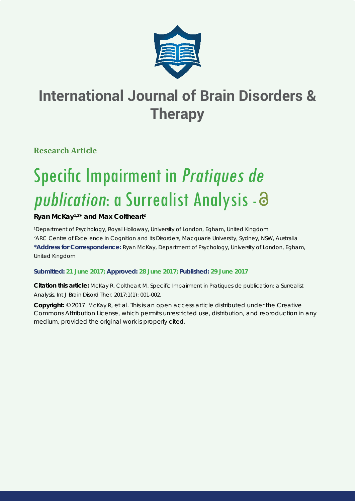

# **International Journal of Brain Disorders & Therapy**

**Research Article**

# Specific Impairment in Pratiques de publication: a Surrealist Analysis - a

# **Ryan McKay1,2\* and Max Coltheart2**

*1 Department of Psychology, Royal Holloway, University of London, Egham, United Kingdom 2 ARC Centre of Excellence in Cognition and its Disorders, Macquarie University, Sydney, NSW, Australia* **\*Address for Correspondence:** Ryan McKay, Department of Psychology, University of London, Egham, United Kingdom

## **Submitted: 21 June 2017; Approved: 28 June 2017; Published: 29 June 2017**

**Citation this article:** McKay R, Coltheart M. Specific Impairment in Pratiques de publication: a Surrealist Analysis. Int J Brain Disord Ther. 2017;1(1): 001-002.

**Copyright:** © 2017 McKay R, et al. This is an open access article distributed under the Creative Commons Attribution License, which permits unrestricted use, distribution, and reproduction in any medium, provided the original work is properly cited.